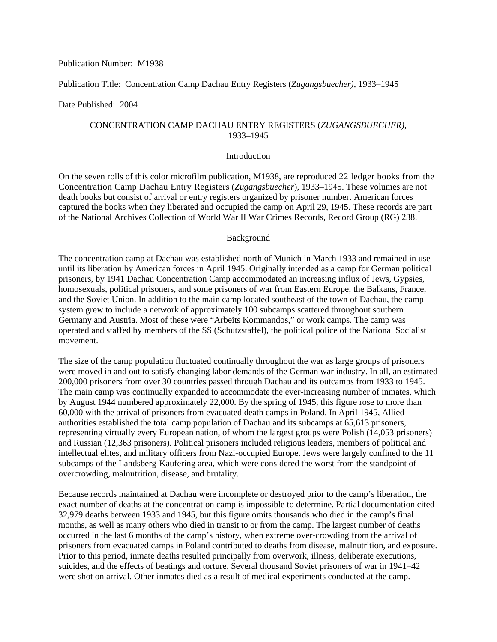## Publication Number: M1938

# Publication Title: Concentration Camp Dachau Entry Registers (*Zugangsbuecher)*, 1933–1945

#### Date Published: 2004

# CONCENTRATION CAMP DACHAU ENTRY REGISTERS (*ZUGANGSBUECHER)*, 1933–1945

#### Introduction

On the seven rolls of this color microfilm publication, M1938, are reproduced 22 ledger books from the Concentration Camp Dachau Entry Registers (*Zugangsbuecher*), 1933–1945. These volumes are not death books but consist of arrival or entry registers organized by prisoner number. American forces captured the books when they liberated and occupied the camp on April 29, 1945. These records are part of the National Archives Collection of World War II War Crimes Records, Record Group (RG) 238.

#### Background

The concentration camp at Dachau was established north of Munich in March 1933 and remained in use until its liberation by American forces in April 1945. Originally intended as a camp for German political prisoners, by 1941 Dachau Concentration Camp accommodated an increasing influx of Jews, Gypsies, homosexuals, political prisoners, and some prisoners of war from Eastern Europe, the Balkans, France, and the Soviet Union. In addition to the main camp located southeast of the town of Dachau, the camp system grew to include a network of approximately 100 subcamps scattered throughout southern Germany and Austria. Most of these were "Arbeits Kommandos," or work camps. The camp was operated and staffed by members of the SS (Schutzstaffel), the political police of the National Socialist movement.

The size of the camp population fluctuated continually throughout the war as large groups of prisoners were moved in and out to satisfy changing labor demands of the German war industry. In all, an estimated 200,000 prisoners from over 30 countries passed through Dachau and its outcamps from 1933 to 1945. The main camp was continually expanded to accommodate the ever-increasing number of inmates, which by August 1944 numbered approximately 22,000. By the spring of 1945, this figure rose to more than 60,000 with the arrival of prisoners from evacuated death camps in Poland. In April 1945, Allied authorities established the total camp population of Dachau and its subcamps at 65,613 prisoners, representing virtually every European nation, of whom the largest groups were Polish (14,053 prisoners) and Russian (12,363 prisoners). Political prisoners included religious leaders, members of political and intellectual elites, and military officers from Nazi-occupied Europe. Jews were largely confined to the 11 subcamps of the Landsberg-Kaufering area, which were considered the worst from the standpoint of overcrowding, malnutrition, disease, and brutality.

Because records maintained at Dachau were incomplete or destroyed prior to the camp's liberation, the exact number of deaths at the concentration camp is impossible to determine. Partial documentation cited 32,979 deaths between 1933 and 1945, but this figure omits thousands who died in the camp's final months, as well as many others who died in transit to or from the camp. The largest number of deaths occurred in the last 6 months of the camp's history, when extreme over-crowding from the arrival of prisoners from evacuated camps in Poland contributed to deaths from disease, malnutrition, and exposure. Prior to this period, inmate deaths resulted principally from overwork, illness, deliberate executions, suicides, and the effects of beatings and torture. Several thousand Soviet prisoners of war in 1941–42 were shot on arrival. Other inmates died as a result of medical experiments conducted at the camp.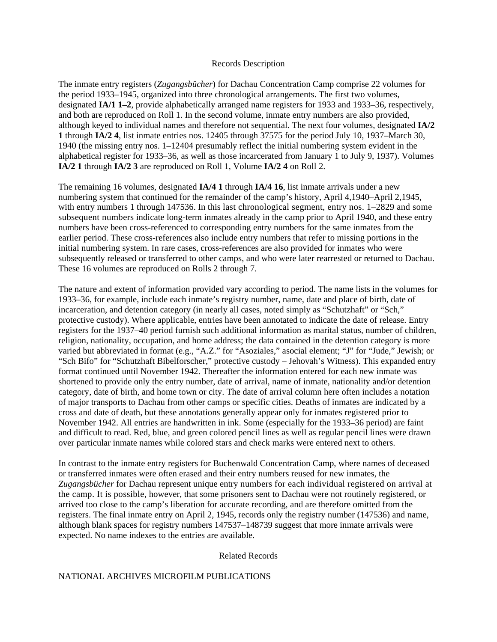#### Records Description

The inmate entry registers (*Zugangsbücher*) for Dachau Concentration Camp comprise 22 volumes for the period 1933–1945, organized into three chronological arrangements. The first two volumes, designated **IA/1 1–2**, provide alphabetically arranged name registers for 1933 and 1933–36, respectively, and both are reproduced on Roll 1. In the second volume, inmate entry numbers are also provided, although keyed to individual names and therefore not sequential. The next four volumes, designated **IA/2 1** through **IA/2 4**, list inmate entries nos. 12405 through 37575 for the period July 10, 1937–March 30, 1940 (the missing entry nos. 1–12404 presumably reflect the initial numbering system evident in the alphabetical register for 1933–36, as well as those incarcerated from January 1 to July 9, 1937). Volumes **IA/2 1** through **IA/2 3** are reproduced on Roll 1, Volume **IA/2 4** on Roll 2.

The remaining 16 volumes, designated **IA/4 1** through **IA/4 16**, list inmate arrivals under a new numbering system that continued for the remainder of the camp's history, April 4,1940–April 2,1945, with entry numbers 1 through 147536. In this last chronological segment, entry nos.  $1-2829$  and some subsequent numbers indicate long-term inmates already in the camp prior to April 1940, and these entry numbers have been cross-referenced to corresponding entry numbers for the same inmates from the earlier period. These cross-references also include entry numbers that refer to missing portions in the initial numbering system. In rare cases, cross-references are also provided for inmates who were subsequently released or transferred to other camps, and who were later rearrested or returned to Dachau. These 16 volumes are reproduced on Rolls 2 through 7.

The nature and extent of information provided vary according to period. The name lists in the volumes for 1933–36, for example, include each inmate's registry number, name, date and place of birth, date of incarceration, and detention category (in nearly all cases, noted simply as "Schutzhaft" or "Sch," protective custody). Where applicable, entries have been annotated to indicate the date of release. Entry registers for the 1937–40 period furnish such additional information as marital status, number of children, religion, nationality, occupation, and home address; the data contained in the detention category is more varied but abbreviated in format (e.g., "A.Z." for "Asoziales," asocial element; "J" for "Jude," Jewish; or "Sch Bifo" for "Schutzhaft Bibelforscher," protective custody – Jehovah's Witness). This expanded entry format continued until November 1942. Thereafter the information entered for each new inmate was shortened to provide only the entry number, date of arrival, name of inmate, nationality and/or detention category, date of birth, and home town or city. The date of arrival column here often includes a notation of major transports to Dachau from other camps or specific cities. Deaths of inmates are indicated by a cross and date of death, but these annotations generally appear only for inmates registered prior to November 1942. All entries are handwritten in ink. Some (especially for the 1933–36 period) are faint and difficult to read. Red, blue, and green colored pencil lines as well as regular pencil lines were drawn over particular inmate names while colored stars and check marks were entered next to others.

In contrast to the inmate entry registers for Buchenwald Concentration Camp, where names of deceased or transferred inmates were often erased and their entry numbers reused for new inmates, the *Zugangsbücher* for Dachau represent unique entry numbers for each individual registered on arrival at the camp. It is possible, however, that some prisoners sent to Dachau were not routinely registered, or arrived too close to the camp's liberation for accurate recording, and are therefore omitted from the registers. The final inmate entry on April 2, 1945, records only the registry number (147536) and name, although blank spaces for registry numbers 147537–148739 suggest that more inmate arrivals were expected. No name indexes to the entries are available.

Related Records

## NATIONAL ARCHIVES MICROFILM PUBLICATIONS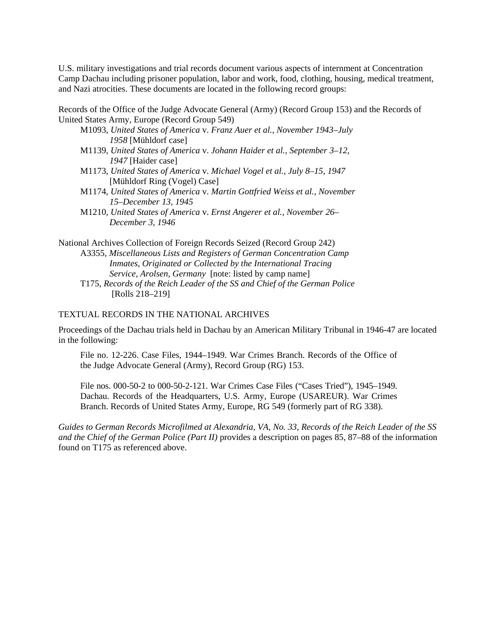U.S. military investigations and trial records document various aspects of internment at Concentration Camp Dachau including prisoner population, labor and work, food, clothing, housing, medical treatment, and Nazi atrocities. These documents are located in the following record groups:

Records of the Office of the Judge Advocate General (Army) (Record Group 153) and the Records of United States Army, Europe (Record Group 549)

- M1093, *United States of America* v. *Franz Auer et al., November 1943–July 1958* [Mühldorf case]
- M1139, *United States of America* v. *Johann Haider et al., September 3–12, 1947* [Haider case]
- M1173, *United States of America* v. *Michael Vogel et al., July 8–15, 1947*  [Mühldorf Ring (Vogel) Case]
- M1174, *United States of America* v. *Martin Gottfried Weiss et al., November 15–December 13, 1945*
- M1210, *United States of America* v. *Ernst Angerer et al., November 26– December 3, 1946*

National Archives Collection of Foreign Records Seized (Record Group 242) A3355, *Miscellaneous Lists and Registers of German Concentration Camp Inmates, Originated or Collected by the International Tracing Service, Arolsen, Germany* [note: listed by camp name] T175, *Records of the Reich Leader of the SS and Chief of the German Police* [Rolls 218–219]

## TEXTUAL RECORDS IN THE NATIONAL ARCHIVES

Proceedings of the Dachau trials held in Dachau by an American Military Tribunal in 1946-47 are located in the following:

File no. 12-226. Case Files, 1944–1949. War Crimes Branch. Records of the Office of the Judge Advocate General (Army), Record Group (RG) 153.

File nos. 000-50-2 to 000-50-2-121. War Crimes Case Files ("Cases Tried"), 1945–1949. Dachau. Records of the Headquarters, U.S. Army, Europe (USAREUR). War Crimes Branch. Records of United States Army, Europe, RG 549 (formerly part of RG 338).

*Guides to German Records Microfilmed at Alexandria, VA, No. 33, Records of the Reich Leader of the SS and the Chief of the German Police (Part II)* provides a description on pages 85, 87–88 of the information found on T175 as referenced above.